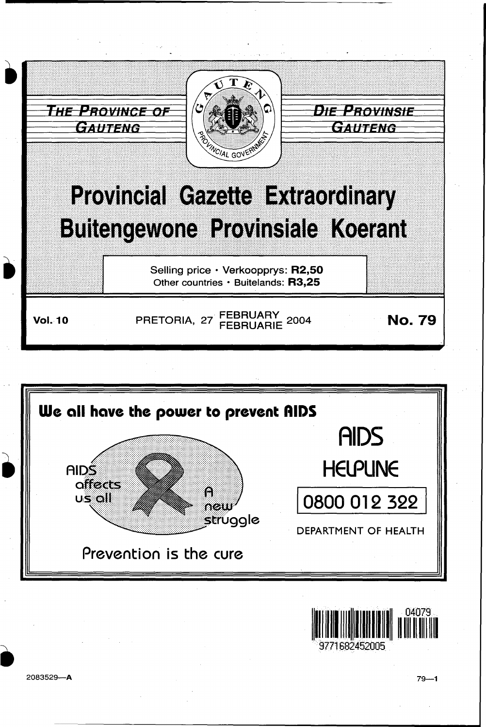





2083529-A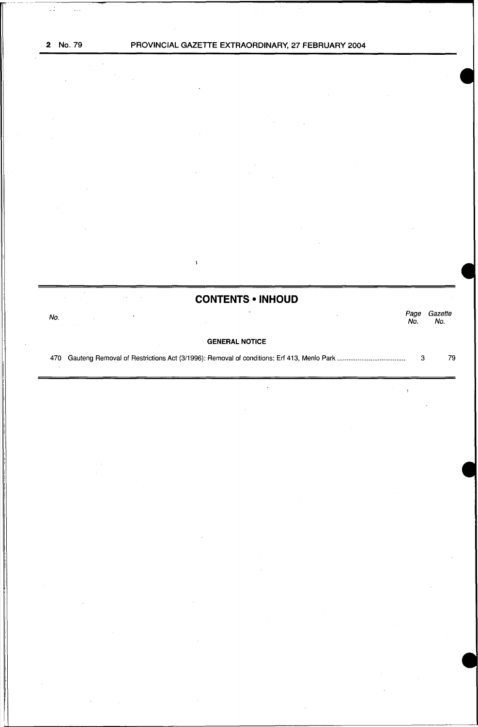$\overline{\mathcal{M}}$ 

 $\sim 2$ 

# CONTENTS • INHOUD No.<br>No. Page Gazette Page Gazet<br>No. No. GENERAL NOTICE 470 Gauteng Removal of Restrictions Act (3/1996): Removal of conditions: Erf 413, Menlo Park .................................... . 3 79

 $\mathbf{r}$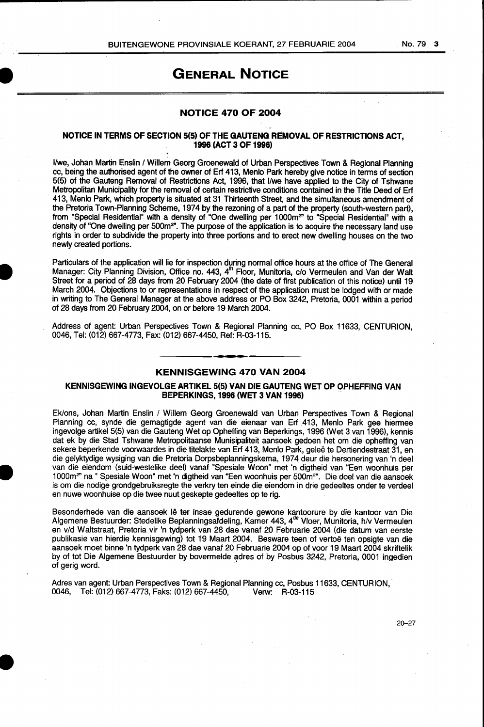# **GENERAL NOTICE**

## **NOTICE 470 OF 2004**

#### **NOTICE IN TERMS OF SECTION 5(5) OF THE GAUTENG REMOVAL OF RESTRICTIONS ACT, 1996 (ACT 3 OF 1996)**

1/we, Johan Martin Enslin I Willem Georg Groenewald of Urban Perspectives Town & Regional Planning cc, being the authorised agent of the owner of Erf 413, Menlo Park hereby give notice in terms of section 5(5) of the Gauteng Removal of Restrictions Act, 1996, that 1/we have applied to the City of Tshwane Metropolitan Municipality for the removal of certain restrictive conditions contained in the Title Deed of Erf · 413, Menlo Park, which property is situated at 31 Thirteenth Street, and the simultaneous amendment of the Pretoria Town-Planning Scheme, 1974 by the rezoning of a part of the property (south-western part), from "Special Residential" with a density of "One dwelling per 1000m<sup>2</sup>" to "Special Residential" with a density of "One dwelling per 500m<sup>2</sup>". The purpose of the application is to acquire the necessary land use rights in order to subdivide the property into three portions and to erect new dwelling houses on the two newly created portions.

Particulars of the application will lie for inspection during normal office hours at the office of The General Manager: City Planning Division, Office no. 443, 4" Floor, Munitoria, c/o Vermeulen and Van der Walt Street for a period of 28 days from 20 February 2004 (the date of first publication of this notice) until 19 March 2004. Objections to or representations in respect of the application must be lodged with or made in writing to The General Manager at the above address or PO Box 3242, Pretoria, 0001 within a period of 28 days from 20 February 2004, on or before 19 March 2004.

I

Address of agent: Urban Perspectives Town & Regional Planning cc, PO Box 11633, CENTURION, 0046, Tel: (012) 667-4773, Fax: (012) 667-4450, Ref: R-03-115.

# **KENNISGEWING 470 VAN 2004**

## **KENNISGEWING INGEVOLGE ARTIKEL 5(5) VAN DIE GAUTENG WET OP OPHEFFING VAN BEPERKINGS, 1996 (WET 3 VAN 1996)**

Ek/ons, Johan Martin Enslin / Willem Georg Groenewald van Urban Perspectives Town & Regional Planning cc, synde die gemagtigde agent van die eienaar van Erf .413, Menlo Park gee hiermee ingevolge artikel 5(5) van die Gauteng Wet op Opheffing van Beperkings, 1996 (Wet 3 van 1996), kennis dat ek by die Stad Tshwane Metropolitaanse Munisipaliteit aansoek gedoen het om die opheffing van sekere beperkende voorwaardes in die titelakte van Erf 413, Menlo Park, gelee te Dertiendestraat 31, en die gelyktydige wysiging van die Pretoria Dorpsbeplanningskema, 1974 deur die hersonering van 'n deel van die eiendom (suid-westelike dee!) vanaf "Spesiale Woon" met 'n digtheid van "Een woonhuis per 1000m<sup>2</sup>" na " Spesiale Woon" met 'n digtheid van "Een woonhuis per 500m<sup>2</sup>". Die doel van die aansoek is om die nodige grondgebruiksregte the verkry ten einde die eiendom in drie gedeeltes onder te verdeel en nuwe woonhuise op die twee nuut geskepte gedeeltes op te rig.

Besonderhede van die aansoek le ter insae gedurende gewone kantoorure by die kantoor van Die Algemene Bestuurder: Stedelike Beplanningsafdeling, Kamer 443, 4<sup>de</sup> Vloer, Munitoria, h/v Vermeulen en v/d Waltstraat, Pretoria vir 'n tydperk van 28 dae vanaf 20 Februarie 2004 (die datum van eerste publikasie van hierdie kennisgewing) tot 19 Maart 2004. Besware teen of vertoe ten opsigte van die aansoek moet binne 'n tydperk van 28 dae vanaf 20 Februarie 2004 op of voor 19 Maart 2004 skriftelik by of tot Die Algemene Bestuurder by bovermelde adres of by Posbus 3242, Pretoria, 0001 ingedien of gerig word.

Adres van agent: Urban Perspectives Town & Regional Planning cc, Posbus 11633, CENTURION, 0046, Tel: (012) 667-4773, Faks: (012) 667-4450, Verw: R-03-115

20-27